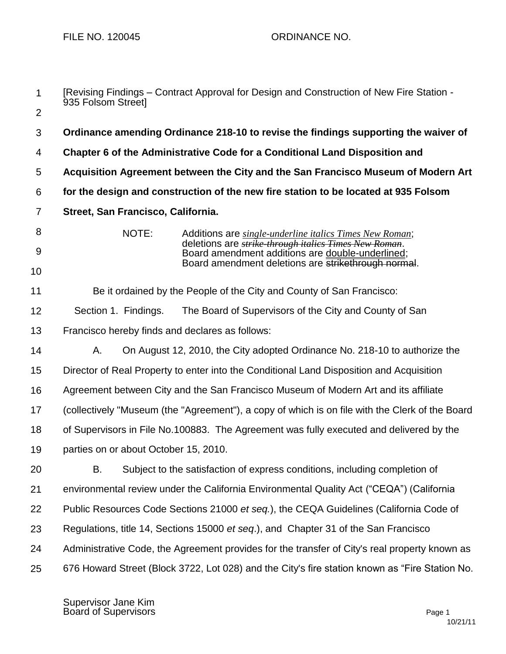| $\mathbf{1}$    | [Revising Findings – Contract Approval for Design and Construction of New Fire Station -<br>935 Folsom Street]                    |  |  |
|-----------------|-----------------------------------------------------------------------------------------------------------------------------------|--|--|
| $\overline{2}$  |                                                                                                                                   |  |  |
| 3               | Ordinance amending Ordinance 218-10 to revise the findings supporting the waiver of                                               |  |  |
| 4               | Chapter 6 of the Administrative Code for a Conditional Land Disposition and                                                       |  |  |
| 5               | Acquisition Agreement between the City and the San Francisco Museum of Modern Art                                                 |  |  |
| $6\phantom{1}6$ | for the design and construction of the new fire station to be located at 935 Folsom                                               |  |  |
| $\overline{7}$  | Street, San Francisco, California.                                                                                                |  |  |
| 8               | NOTE:<br>Additions are single-underline italics Times New Roman;<br>deletions are <i>strike through italics Times New Roman</i> . |  |  |
| 9               | Board amendment additions are double-underlined;                                                                                  |  |  |
| 10              | Board amendment deletions are strikethrough normal.                                                                               |  |  |
| 11              | Be it ordained by the People of the City and County of San Francisco:                                                             |  |  |
| 12              | Section 1. Findings.<br>The Board of Supervisors of the City and County of San                                                    |  |  |
| 13              | Francisco hereby finds and declares as follows:                                                                                   |  |  |
| 14              | Α.<br>On August 12, 2010, the City adopted Ordinance No. 218-10 to authorize the                                                  |  |  |
| 15              | Director of Real Property to enter into the Conditional Land Disposition and Acquisition                                          |  |  |
| 16              | Agreement between City and the San Francisco Museum of Modern Art and its affiliate                                               |  |  |
| 17              | (collectively "Museum (the "Agreement"), a copy of which is on file with the Clerk of the Board                                   |  |  |
| 18              | of Supervisors in File No.100883. The Agreement was fully executed and delivered by the                                           |  |  |
| 19              | parties on or about October 15, 2010.                                                                                             |  |  |
| 20              | В.<br>Subject to the satisfaction of express conditions, including completion of                                                  |  |  |
| 21              | environmental review under the California Environmental Quality Act ("CEQA") (California                                          |  |  |
| 22              | Public Resources Code Sections 21000 et seq.), the CEQA Guidelines (California Code of                                            |  |  |
| 23              | Regulations, title 14, Sections 15000 et seq.), and Chapter 31 of the San Francisco                                               |  |  |
| 24              | Administrative Code, the Agreement provides for the transfer of City's real property known as                                     |  |  |
| 25              | 676 Howard Street (Block 3722, Lot 028) and the City's fire station known as "Fire Station No.                                    |  |  |

Supervisor Jane Kim Board of Supervisors **Page 1**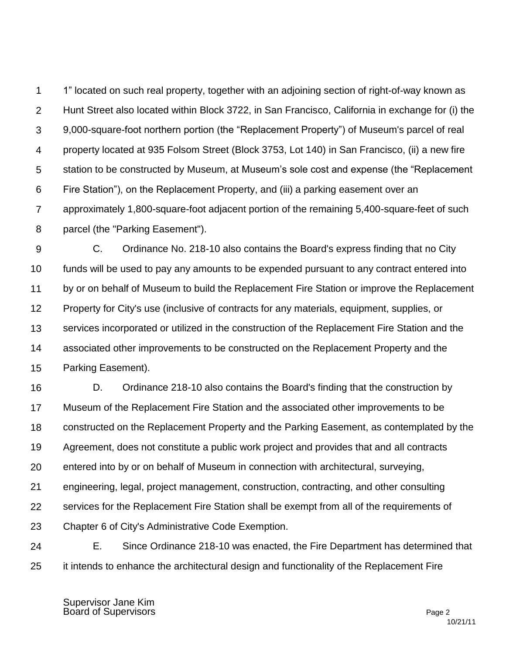1 2 3 4 5 6 7 8 1" located on such real property, together with an adjoining section of right-of-way known as Hunt Street also located within Block 3722, in San Francisco, California in exchange for (i) the 9,000-square-foot northern portion (the "Replacement Property") of Museum's parcel of real property located at 935 Folsom Street (Block 3753, Lot 140) in San Francisco, (ii) a new fire station to be constructed by Museum, at Museum's sole cost and expense (the "Replacement Fire Station"), on the Replacement Property, and (iii) a parking easement over an approximately 1,800-square-foot adjacent portion of the remaining 5,400-square-feet of such parcel (the "Parking Easement").

9 10 11 12 13 14 15 C. Ordinance No. 218-10 also contains the Board's express finding that no City funds will be used to pay any amounts to be expended pursuant to any contract entered into by or on behalf of Museum to build the Replacement Fire Station or improve the Replacement Property for City's use (inclusive of contracts for any materials, equipment, supplies, or services incorporated or utilized in the construction of the Replacement Fire Station and the associated other improvements to be constructed on the Replacement Property and the Parking Easement).

16 17 18 19 20 21 22 23 D. Ordinance 218-10 also contains the Board's finding that the construction by Museum of the Replacement Fire Station and the associated other improvements to be constructed on the Replacement Property and the Parking Easement, as contemplated by the Agreement, does not constitute a public work project and provides that and all contracts entered into by or on behalf of Museum in connection with architectural, surveying, engineering, legal, project management, construction, contracting, and other consulting services for the Replacement Fire Station shall be exempt from all of the requirements of Chapter 6 of City's Administrative Code Exemption.

24 25 E. Since Ordinance 218-10 was enacted, the Fire Department has determined that it intends to enhance the architectural design and functionality of the Replacement Fire

Supervisor Jane Kim Board of Supervisors **Page 2**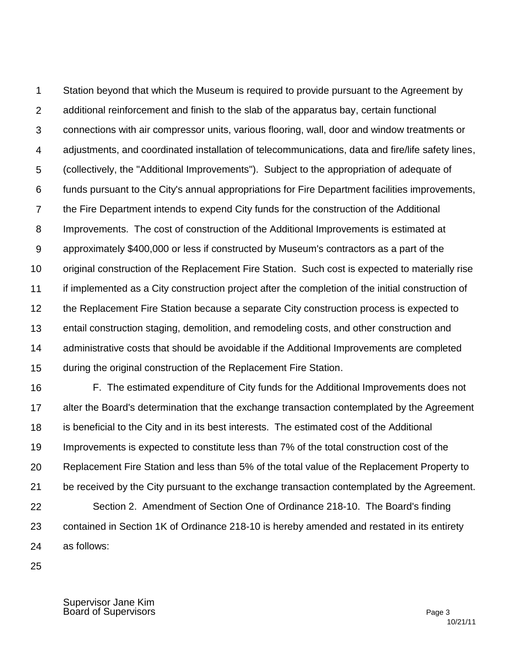1 2 3 4 5 6 7 8 9 10 11 12 13 14 15 Station beyond that which the Museum is required to provide pursuant to the Agreement by additional reinforcement and finish to the slab of the apparatus bay, certain functional connections with air compressor units, various flooring, wall, door and window treatments or adjustments, and coordinated installation of telecommunications, data and fire/life safety lines, (collectively, the "Additional Improvements"). Subject to the appropriation of adequate of funds pursuant to the City's annual appropriations for Fire Department facilities improvements, the Fire Department intends to expend City funds for the construction of the Additional Improvements. The cost of construction of the Additional Improvements is estimated at approximately \$400,000 or less if constructed by Museum's contractors as a part of the original construction of the Replacement Fire Station. Such cost is expected to materially rise if implemented as a City construction project after the completion of the initial construction of the Replacement Fire Station because a separate City construction process is expected to entail construction staging, demolition, and remodeling costs, and other construction and administrative costs that should be avoidable if the Additional Improvements are completed during the original construction of the Replacement Fire Station.

16 17 18 19 20 21 22 23 24 F. The estimated expenditure of City funds for the Additional Improvements does not alter the Board's determination that the exchange transaction contemplated by the Agreement is beneficial to the City and in its best interests. The estimated cost of the Additional Improvements is expected to constitute less than 7% of the total construction cost of the Replacement Fire Station and less than 5% of the total value of the Replacement Property to be received by the City pursuant to the exchange transaction contemplated by the Agreement. Section 2. Amendment of Section One of Ordinance 218-10. The Board's finding contained in Section 1K of Ordinance 218-10 is hereby amended and restated in its entirety as follows:

25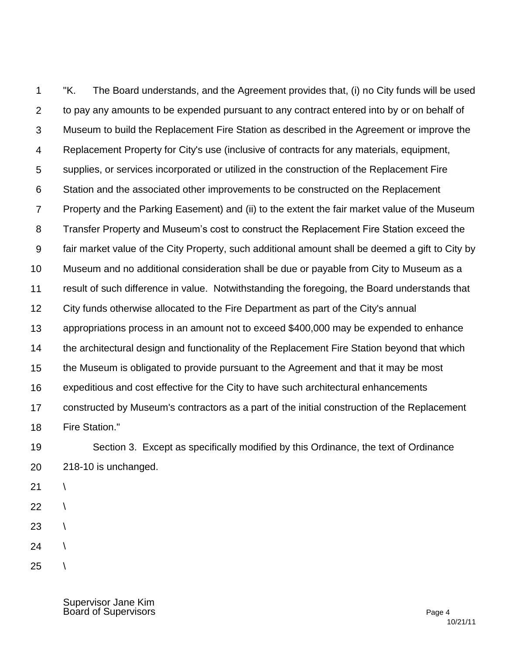1 2 3 4 5 6 7 8 9 10 11 12 13 14 15 16 17 18 "K. The Board understands, and the Agreement provides that, (i) no City funds will be used to pay any amounts to be expended pursuant to any contract entered into by or on behalf of Museum to build the Replacement Fire Station as described in the Agreement or improve the Replacement Property for City's use (inclusive of contracts for any materials, equipment, supplies, or services incorporated or utilized in the construction of the Replacement Fire Station and the associated other improvements to be constructed on the Replacement Property and the Parking Easement) and (ii) to the extent the fair market value of the Museum Transfer Property and Museum's cost to construct the Replacement Fire Station exceed the fair market value of the City Property, such additional amount shall be deemed a gift to City by Museum and no additional consideration shall be due or payable from City to Museum as a result of such difference in value. Notwithstanding the foregoing, the Board understands that City funds otherwise allocated to the Fire Department as part of the City's annual appropriations process in an amount not to exceed \$400,000 may be expended to enhance the architectural design and functionality of the Replacement Fire Station beyond that which the Museum is obligated to provide pursuant to the Agreement and that it may be most expeditious and cost effective for the City to have such architectural enhancements constructed by Museum's contractors as a part of the initial construction of the Replacement Fire Station."

19

20

Section 3. Except as specifically modified by this Ordinance, the text of Ordinance 218-10 is unchanged.

21

 $\setminus$ 

 $\setminus$ 

- 22
- 23  $\setminus$
- 24  $\setminus$
- 25  $\lambda$

Supervisor Jane Kim Board of Supervisors **Page 4**